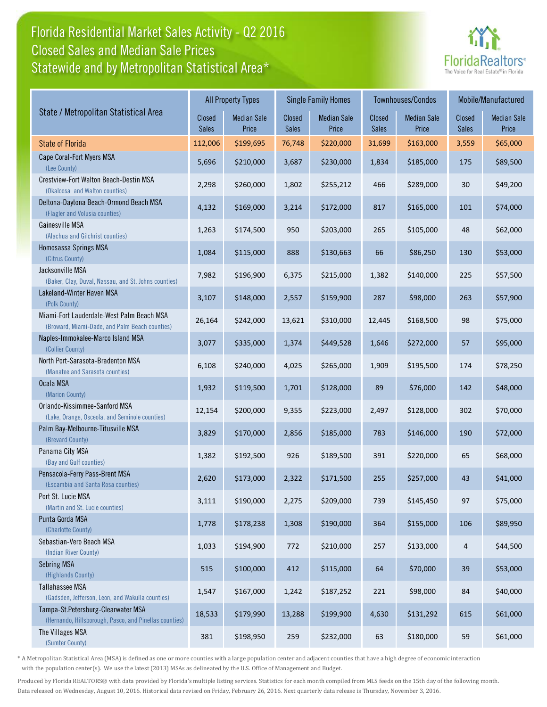# Florida Residential Market Sales Activity - Q2 2016 Statewide and by Metropolitan Statistical Area\* Closed Sales and Median Sale Prices



|                                                                                              |                               | <b>All Property Types</b>   |                        | <b>Single Family Homes</b>  |                        | Townhouses/Condos           | Mobile/Manufactured |                             |
|----------------------------------------------------------------------------------------------|-------------------------------|-----------------------------|------------------------|-----------------------------|------------------------|-----------------------------|---------------------|-----------------------------|
| State / Metropolitan Statistical Area                                                        | <b>Closed</b><br><b>Sales</b> | <b>Median Sale</b><br>Price | Closed<br><b>Sales</b> | <b>Median Sale</b><br>Price | Closed<br><b>Sales</b> | <b>Median Sale</b><br>Price | Closed<br>Sales     | <b>Median Sale</b><br>Price |
| <b>State of Florida</b>                                                                      | 112,006                       | \$199,695                   | 76,748                 | \$220,000                   | 31,699                 | \$163,000                   | 3,559               | \$65,000                    |
| Cape Coral-Fort Myers MSA<br>(Lee County)                                                    | 5,696                         | \$210,000                   | 3,687                  | \$230,000                   | 1,834                  | \$185,000                   | 175                 | \$89,500                    |
| Crestview-Fort Walton Beach-Destin MSA<br>(Okaloosa and Walton counties)                     | 2,298                         | \$260,000                   | 1,802                  | \$255,212                   | 466                    | \$289,000                   | 30                  | \$49,200                    |
| Deltona-Daytona Beach-Ormond Beach MSA<br>(Flagler and Volusia counties)                     | 4,132                         | \$169,000                   | 3,214                  | \$172,000                   | 817                    | \$165,000                   | 101                 | \$74,000                    |
| Gainesville MSA<br>(Alachua and Gilchrist counties)                                          | 1,263                         | \$174,500                   | 950                    | \$203,000                   | 265                    | \$105,000                   | 48                  | \$62,000                    |
| Homosassa Springs MSA<br>(Citrus County)                                                     | 1,084                         | \$115,000                   | 888                    | \$130,663                   | 66                     | \$86,250                    | 130                 | \$53,000                    |
| Jacksonville MSA<br>(Baker, Clay, Duval, Nassau, and St. Johns counties)                     | 7,982                         | \$196,900                   | 6,375                  | \$215,000                   | 1,382                  | \$140,000                   | 225                 | \$57,500                    |
| Lakeland-Winter Haven MSA<br>(Polk County)                                                   | 3,107                         | \$148,000                   | 2,557                  | \$159,900                   | 287                    | \$98,000                    | 263                 | \$57,900                    |
| Miami-Fort Lauderdale-West Palm Beach MSA<br>(Broward, Miami-Dade, and Palm Beach counties)  | 26,164                        | \$242,000                   | 13,621                 | \$310,000                   | 12,445                 | \$168,500                   | 98                  | \$75,000                    |
| Naples-Immokalee-Marco Island MSA<br>(Collier County)                                        | 3,077                         | \$335,000                   | 1,374                  | \$449,528                   | 1,646                  | \$272,000                   | 57                  | \$95,000                    |
| North Port-Sarasota-Bradenton MSA<br>(Manatee and Sarasota counties)                         | 6,108                         | \$240,000                   | 4,025                  | \$265,000                   | 1,909                  | \$195,500                   | 174                 | \$78,250                    |
| Ocala MSA<br>(Marion County)                                                                 | 1,932                         | \$119,500                   | 1,701                  | \$128,000                   | 89                     | \$76,000                    | 142                 | \$48,000                    |
| Orlando-Kissimmee-Sanford MSA<br>(Lake, Orange, Osceola, and Seminole counties)              | 12,154                        | \$200,000                   | 9,355                  | \$223,000                   | 2,497                  | \$128,000                   | 302                 | \$70,000                    |
| Palm Bay-Melbourne-Titusville MSA<br>(Brevard County)                                        | 3,829                         | \$170,000                   | 2,856                  | \$185,000                   | 783                    | \$146,000                   | 190                 | \$72,000                    |
| Panama City MSA<br>(Bay and Gulf counties)                                                   | 1,382                         | \$192,500                   | 926                    | \$189,500                   | 391                    | \$220,000                   | 65                  | \$68,000                    |
| Pensacola-Ferry Pass-Brent MSA<br>(Escambia and Santa Rosa counties)                         | 2,620                         | \$173,000                   | 2,322                  | \$171,500                   | 255                    | \$257,000                   | 43                  | \$41,000                    |
| Port St. Lucie MSA<br>(Martin and St. Lucie counties)                                        | 3,111                         | \$190,000                   | 2,275                  | \$209,000                   | 739                    | \$145,450                   | 97                  | \$75,000                    |
| Punta Gorda MSA<br>(Charlotte County)                                                        | 1,778                         | \$178,238                   | 1,308                  | \$190,000                   | 364                    | \$155,000                   | 106                 | \$89,950                    |
| Sebastian-Vero Beach MSA<br>(Indian River County)                                            | 1,033                         | \$194,900                   | 772                    | \$210,000                   | 257                    | \$133,000                   | $\overline{4}$      | \$44,500                    |
| Sebring MSA<br>(Highlands County)                                                            | 515                           | \$100,000                   | 412                    | \$115,000                   | 64                     | \$70,000                    | 39                  | \$53,000                    |
| Tallahassee MSA<br>(Gadsden, Jefferson, Leon, and Wakulla counties)                          | 1,547                         | \$167,000                   | 1,242                  | \$187,252                   | 221                    | \$98,000                    | 84                  | \$40,000                    |
| Tampa-St.Petersburg-Clearwater MSA<br>(Hernando, Hillsborough, Pasco, and Pinellas counties) | 18,533                        | \$179,990                   | 13,288                 | \$199,900                   | 4,630                  | \$131,292                   | 615                 | \$61,000                    |
| The Villages MSA<br>(Sumter County)                                                          | 381                           | \$198,950                   | 259                    | \$232,000                   | 63                     | \$180,000                   | 59                  | \$61,000                    |

\* A Metropolitan Statistical Area (MSA) is defined as one or more counties with a large population center and adjacent counties that have a high degree of economic interaction with the population center(s). We use the latest (2013) MSAs as delineated by the U.S. Office of Management and Budget.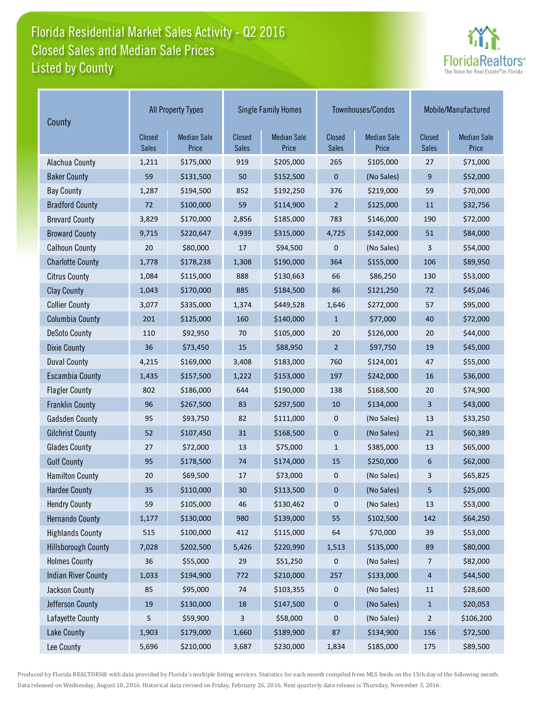# Florida Residential Market Sales Activity - Q2 2016 Listed by County Closed Sales and Median Sale Prices



| County                     |                 | <b>All Property Types</b>   |                 | <b>Single Family Homes</b>  |                        | Townhouses/Condos           | Mobile/Manufactured    |                             |
|----------------------------|-----------------|-----------------------------|-----------------|-----------------------------|------------------------|-----------------------------|------------------------|-----------------------------|
|                            | Closed<br>Sales | <b>Median Sale</b><br>Price | Closed<br>Sales | <b>Median Sale</b><br>Price | Closed<br><b>Sales</b> | <b>Median Sale</b><br>Price | Closed<br><b>Sales</b> | <b>Median Sale</b><br>Price |
| Alachua County             | 1,211           | \$175,000                   | 919             | \$205,000                   | 265                    | \$105,000                   | 27                     | \$71,000                    |
| <b>Baker County</b>        | 59              | \$131,500                   | 50              | \$152,500                   | $\boldsymbol{0}$       | (No Sales)                  | 9                      | \$52,000                    |
| <b>Bay County</b>          | 1,287           | \$194,500                   | 852             | \$192,250                   | 376                    | \$219,000                   | 59                     | \$70,000                    |
| <b>Bradford County</b>     | 72              | \$100,000                   | 59              | \$114,900                   | $\overline{2}$         | \$125,000                   | 11                     | \$32,756                    |
| <b>Brevard County</b>      | 3,829           | \$170,000                   | 2,856           | \$185,000                   | 783                    | \$146,000                   | 190                    | \$72,000                    |
| <b>Broward County</b>      | 9,715           | \$220,647                   | 4,939           | \$315,000                   | 4,725                  | \$142,000                   | 51                     | \$84,000                    |
| <b>Calhoun County</b>      | 20              | \$80,000                    | 17              | \$94,500                    | 0                      | (No Sales)                  | 3                      | \$54,000                    |
| <b>Charlotte County</b>    | 1,778           | \$178,238                   | 1,308           | \$190,000                   | 364                    | \$155,000                   | 106                    | \$89,950                    |
| <b>Citrus County</b>       | 1,084           | \$115,000                   | 888             | \$130,663                   | 66                     | \$86,250                    | 130                    | \$53,000                    |
| <b>Clay County</b>         | 1,043           | \$170,000                   | 885             | \$184,500                   | 86                     | \$121,250                   | 72                     | \$45,046                    |
| <b>Collier County</b>      | 3,077           | \$335,000                   | 1,374           | \$449,528                   | 1,646                  | \$272,000                   | 57                     | \$95,000                    |
| <b>Columbia County</b>     | 201             | \$125,000                   | 160             | \$140,000                   | $\mathbf{1}$           | \$77,000                    | 40                     | \$72,000                    |
| <b>DeSoto County</b>       | 110             | \$92,950                    | 70              | \$105,000                   | 20                     | \$126,000                   | 20                     | \$44,000                    |
| <b>Dixie County</b>        | 36              | \$73,450                    | 15              | \$88,950                    | $\overline{2}$         | \$97,750                    | 19                     | \$45,000                    |
| <b>Duval County</b>        | 4,215           | \$169,000                   | 3,408           | \$183,000                   | 760                    | \$124,001                   | 47                     | \$55,000                    |
| <b>Escambia County</b>     | 1,435           | \$157,500                   | 1,222           | \$153,000                   | 197                    | \$242,000                   | 16                     | \$36,000                    |
| <b>Flagler County</b>      | 802             | \$186,000                   | 644             | \$190,000                   | 138                    | \$168,500                   | 20                     | \$74,900                    |
| <b>Franklin County</b>     | 96              | \$267,500                   | 83              | \$297,500                   | 10                     | \$134,000                   | 3                      | \$43,000                    |
| <b>Gadsden County</b>      | 95              | \$93,750                    | 82              | \$111,000                   | $\pmb{0}$              | (No Sales)                  | 13                     | \$33,250                    |
| <b>Gilchrist County</b>    | 52              | \$107,450                   | 31              | \$168,500                   | $\pmb{0}$              | (No Sales)                  | 21                     | \$60,389                    |
| <b>Glades County</b>       | 27              | \$72,000                    | 13              | \$75,000                    | $\mathbf{1}$           | \$385,000                   | 13                     | \$65,000                    |
| <b>Gulf County</b>         | 95              | \$178,500                   | 74              | \$174,000                   | 15                     | \$250,000                   | 6                      | \$62,000                    |
| <b>Hamilton County</b>     | 20              | \$69,500                    | 17              | \$73,000                    | 0                      | (No Sales)                  | 3                      | \$65,825                    |
| <b>Hardee County</b>       | 35              | \$110,000                   | 30              | \$113,500                   | $\mathbf 0$            | (No Sales)                  | 5                      | \$25,000                    |
| <b>Hendry County</b>       | 59              | \$105,000                   | 46              | \$130,462                   | 0                      | (No Sales)                  | 13                     | \$53,000                    |
| <b>Hernando County</b>     | 1,177           | \$130,000                   | 980             | \$139,000                   | 55                     | \$102,500                   | 142                    | \$64,250                    |
| <b>Highlands County</b>    | 515             | \$100,000                   | 412             | \$115,000                   | 64                     | \$70,000                    | 39                     | \$53,000                    |
| <b>Hillsborough County</b> | 7,028           | \$202,500                   | 5,426           | \$220,990                   | 1,513                  | \$135,000                   | 89                     | \$80,000                    |
| <b>Holmes County</b>       | 36              | \$55,000                    | 29              | \$51,250                    | 0                      | (No Sales)                  | 7                      | \$82,000                    |
| <b>Indian River County</b> | 1,033           | \$194,900                   | 772             | \$210,000                   | 257                    | \$133,000                   | $\overline{a}$         | \$44,500                    |
| Jackson County             | 85              | \$95,000                    | 74              | \$103,355                   | 0                      | (No Sales)                  | $11\,$                 | \$28,600                    |
| Jefferson County           | 19              | \$130,000                   | $18\,$          | \$147,500                   | $\pmb{0}$              | (No Sales)                  | $\mathbf{1}$           | \$20,053                    |
| Lafayette County           | 5               | \$59,900                    | 3               | \$58,000                    | $\pmb{0}$              | (No Sales)                  | 2                      | \$106,200                   |
| <b>Lake County</b>         | 1,903           | \$179,000                   | 1,660           | \$189,900                   | 87                     | \$134,900                   | 156                    | \$72,500                    |
| Lee County                 | 5,696           | \$210,000                   | 3,687           | \$230,000                   | 1,834                  | \$185,000                   | 175                    | \$89,500                    |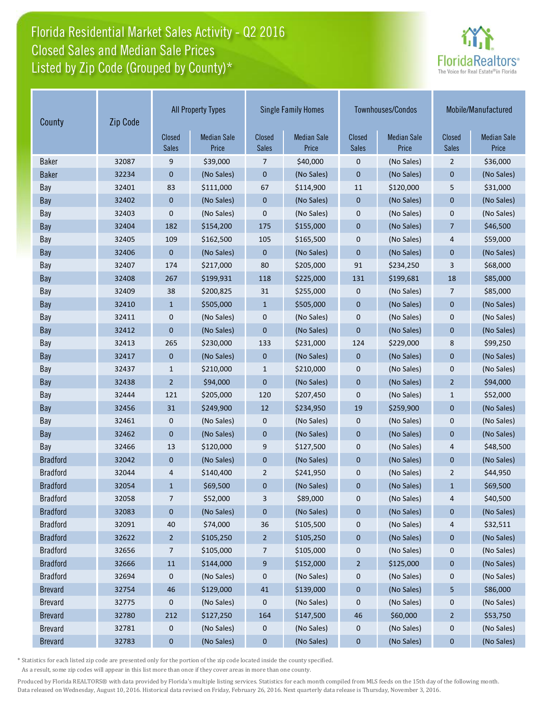# Florida Residential Market Sales Activity - Q2 2016 Listed by Zip Code (Grouped by County)\* Closed Sales and Median Sale Prices



| County          | Zip Code | <b>All Property Types</b> |                             | <b>Single Family Homes</b>    | Townhouses/Condos           |                               | Mobile/Manufactured         |                               |                             |
|-----------------|----------|---------------------------|-----------------------------|-------------------------------|-----------------------------|-------------------------------|-----------------------------|-------------------------------|-----------------------------|
|                 |          | Closed<br><b>Sales</b>    | <b>Median Sale</b><br>Price | <b>Closed</b><br><b>Sales</b> | <b>Median Sale</b><br>Price | <b>Closed</b><br><b>Sales</b> | <b>Median Sale</b><br>Price | <b>Closed</b><br><b>Sales</b> | <b>Median Sale</b><br>Price |
| <b>Baker</b>    | 32087    | 9                         | \$39,000                    | 7                             | \$40,000                    | $\mathbf 0$                   | (No Sales)                  | $\overline{2}$                | \$36,000                    |
| <b>Baker</b>    | 32234    | 0                         | (No Sales)                  | $\mathbf 0$                   | (No Sales)                  | $\mathbf{0}$                  | (No Sales)                  | $\mathbf 0$                   | (No Sales)                  |
| Bay             | 32401    | 83                        | \$111,000                   | 67                            | \$114,900                   | 11                            | \$120,000                   | 5                             | \$31,000                    |
| Bay             | 32402    | 0                         | (No Sales)                  | $\mathbf 0$                   | (No Sales)                  | $\mathbf{0}$                  | (No Sales)                  | $\mathbf{0}$                  | (No Sales)                  |
| Bay             | 32403    | 0                         | (No Sales)                  | $\mathbf 0$                   | (No Sales)                  | $\mathbf 0$                   | (No Sales)                  | $\mathbf 0$                   | (No Sales)                  |
| Bay             | 32404    | 182                       | \$154,200                   | 175                           | \$155,000                   | $\mathbf{0}$                  | (No Sales)                  | $\overline{7}$                | \$46,500                    |
| Bay             | 32405    | 109                       | \$162,500                   | 105                           | \$165,500                   | $\mathbf{0}$                  | (No Sales)                  | 4                             | \$59,000                    |
| Bay             | 32406    | $\mathbf{0}$              | (No Sales)                  | $\mathbf{0}$                  | (No Sales)                  | $\mathbf{0}$                  | (No Sales)                  | $\mathbf{0}$                  | (No Sales)                  |
| Bay             | 32407    | 174                       | \$217,000                   | 80                            | \$205,000                   | 91                            | \$234,250                   | 3                             | \$68,000                    |
| Bay             | 32408    | 267                       | \$199,931                   | 118                           | \$225,000                   | 131                           | \$199,681                   | 18                            | \$85,000                    |
| Bay             | 32409    | 38                        | \$200,825                   | 31                            | \$255,000                   | $\mathbf 0$                   | (No Sales)                  | $\overline{7}$                | \$85,000                    |
| Bay             | 32410    | $\mathbf{1}$              | \$505,000                   | $\mathbf{1}$                  | \$505,000                   | $\mathbf{0}$                  | (No Sales)                  | $\mathbf{0}$                  | (No Sales)                  |
| Bay             | 32411    | 0                         | (No Sales)                  | $\mathbf 0$                   | (No Sales)                  | $\mathbf 0$                   | (No Sales)                  | $\mathbf 0$                   | (No Sales)                  |
| Bay             | 32412    | $\mathbf 0$               | (No Sales)                  | $\mathbf 0$                   | (No Sales)                  | $\mathbf{0}$                  | (No Sales)                  | $\mathbf{0}$                  | (No Sales)                  |
| Bay             | 32413    | 265                       | \$230,000                   | 133                           | \$231,000                   | 124                           | \$229,000                   | 8                             | \$99,250                    |
| Bay             | 32417    | 0                         | (No Sales)                  | $\mathbf 0$                   | (No Sales)                  | $\mathbf 0$                   | (No Sales)                  | $\mathbf{0}$                  | (No Sales)                  |
| Bay             | 32437    | 1                         | \$210,000                   | $\mathbf{1}$                  | \$210,000                   | $\mathbf 0$                   | (No Sales)                  | $\mathbf{0}$                  | (No Sales)                  |
| Bay             | 32438    | $\overline{2}$            | \$94,000                    | $\mathbf{0}$                  | (No Sales)                  | $\mathbf{0}$                  | (No Sales)                  | $\overline{2}$                | \$94,000                    |
| Bay             | 32444    | 121                       | \$205,000                   | 120                           | \$207,450                   | $\mathbf 0$                   | (No Sales)                  | $\mathbf{1}$                  | \$52,000                    |
| Bay             | 32456    | 31                        | \$249,900                   | 12                            | \$234,950                   | 19                            | \$259,900                   | $\mathbf{0}$                  | (No Sales)                  |
| Bay             | 32461    | 0                         | (No Sales)                  | 0                             | (No Sales)                  | $\mathbf 0$                   | (No Sales)                  | $\mathbf 0$                   | (No Sales)                  |
| Bay             | 32462    | $\mathbf{0}$              | (No Sales)                  | $\pmb{0}$                     | (No Sales)                  | $\mathbf{0}$                  | (No Sales)                  | $\mathbf{0}$                  | (No Sales)                  |
| Bay             | 32466    | 13                        | \$120,000                   | 9                             | \$127,500                   | $\mathbf 0$                   | (No Sales)                  | 4                             | \$48,500                    |
| <b>Bradford</b> | 32042    | 0                         | (No Sales)                  | $\pmb{0}$                     | (No Sales)                  | $\mathbf{0}$                  | (No Sales)                  | $\mathbf{0}$                  | (No Sales)                  |
| <b>Bradford</b> | 32044    | 4                         | \$140,400                   | $\overline{2}$                | \$241,950                   | $\mathbf{0}$                  | (No Sales)                  | $\overline{2}$                | \$44,950                    |
| <b>Bradford</b> | 32054    | $\mathbf{1}$              | \$69,500                    | $\mathbf 0$                   | (No Sales)                  | $\mathbf 0$                   | (No Sales)                  | $\mathbf{1}$                  | \$69,500                    |
| <b>Bradford</b> | 32058    | 7                         | \$52,000                    | 3                             | \$89,000                    | 0                             | (No Sales)                  | 4                             | \$40,500                    |
| <b>Bradford</b> | 32083    | 0                         | (No Sales)                  | 0                             | (No Sales)                  | $\boldsymbol{0}$              | (No Sales)                  | $\bf{0}$                      | (No Sales)                  |
| <b>Bradford</b> | 32091    | 40                        | \$74,000                    | 36                            | \$105,500                   | 0                             | (No Sales)                  | 4                             | \$32,511                    |
| <b>Bradford</b> | 32622    | $\overline{c}$            | \$105,250                   | $\overline{a}$                | \$105,250                   | $\pmb{0}$                     | (No Sales)                  | $\pmb{0}$                     | (No Sales)                  |
| <b>Bradford</b> | 32656    | 7                         | \$105,000                   | 7                             | \$105,000                   | $\boldsymbol{0}$              | (No Sales)                  | 0                             | (No Sales)                  |
| <b>Bradford</b> | 32666    | $11\,$                    | \$144,000                   | 9                             | \$152,000                   | $\overline{a}$                | \$125,000                   | $\bf{0}$                      | (No Sales)                  |
| <b>Bradford</b> | 32694    | 0                         | (No Sales)                  | 0                             | (No Sales)                  | 0                             | (No Sales)                  | 0                             | (No Sales)                  |
| <b>Brevard</b>  | 32754    | 46                        | \$129,000                   | 41                            | \$139,000                   | $\pmb{0}$                     | (No Sales)                  | 5                             | \$86,000                    |
| <b>Brevard</b>  | 32775    | 0                         | (No Sales)                  | 0                             | (No Sales)                  | 0                             | (No Sales)                  | 0                             | (No Sales)                  |
| <b>Brevard</b>  | 32780    | 212                       | \$127,250                   | 164                           | \$147,500                   | $46\,$                        | \$60,000                    | $\overline{2}$                | \$53,750                    |
| <b>Brevard</b>  | 32781    | 0                         | (No Sales)                  | 0                             | (No Sales)                  | $\boldsymbol{0}$              | (No Sales)                  | 0                             | (No Sales)                  |
| <b>Brevard</b>  | 32783    | $\bf{0}$                  | (No Sales)                  | $\pmb{0}$                     | (No Sales)                  | $\bf{0}$                      | (No Sales)                  | $\bf{0}$                      | (No Sales)                  |

\* Statistics for each listed zip code are presented only for the portion of the zip code located inside the county specified.

As a result, some zip codes will appear in this list more than once if they cover areas in more than one county.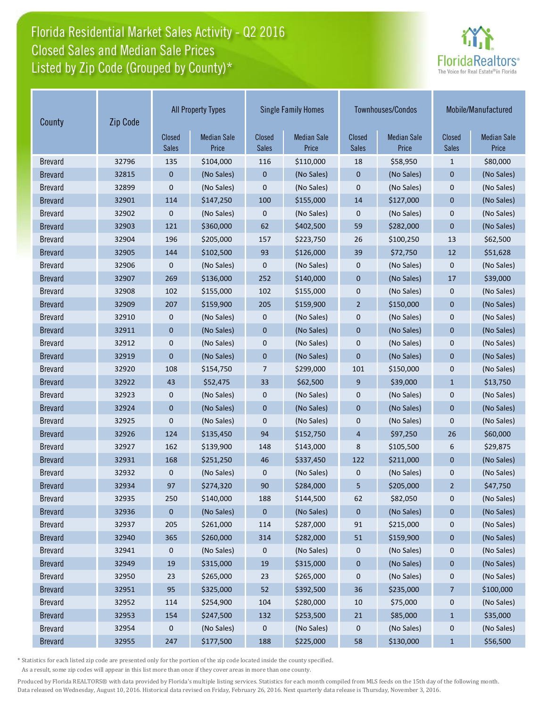# Florida Residential Market Sales Activity - Q2 2016 Listed by Zip Code (Grouped by County)\* Closed Sales and Median Sale Prices



| Zip Code<br>County |       | <b>All Property Types</b> |                             | <b>Single Family Homes</b> |                             |                               | Townhouses/Condos           | Mobile/Manufactured           |                             |
|--------------------|-------|---------------------------|-----------------------------|----------------------------|-----------------------------|-------------------------------|-----------------------------|-------------------------------|-----------------------------|
|                    |       | Closed<br><b>Sales</b>    | <b>Median Sale</b><br>Price | Closed<br><b>Sales</b>     | <b>Median Sale</b><br>Price | <b>Closed</b><br><b>Sales</b> | <b>Median Sale</b><br>Price | <b>Closed</b><br><b>Sales</b> | <b>Median Sale</b><br>Price |
| <b>Brevard</b>     | 32796 | 135                       | \$104,000                   | 116                        | \$110,000                   | 18                            | \$58,950                    | $\mathbf{1}$                  | \$80,000                    |
| <b>Brevard</b>     | 32815 | 0                         | (No Sales)                  | $\boldsymbol{0}$           | (No Sales)                  | $\mathbf 0$                   | (No Sales)                  | $\mathbf 0$                   | (No Sales)                  |
| <b>Brevard</b>     | 32899 | 0                         | (No Sales)                  | $\mathbf 0$                | (No Sales)                  | $\mathbf 0$                   | (No Sales)                  | $\mathbf 0$                   | (No Sales)                  |
| <b>Brevard</b>     | 32901 | 114                       | \$147,250                   | 100                        | \$155,000                   | 14                            | \$127,000                   | $\mathbf{0}$                  | (No Sales)                  |
| <b>Brevard</b>     | 32902 | 0                         | (No Sales)                  | 0                          | (No Sales)                  | $\mathbf 0$                   | (No Sales)                  | $\mathbf 0$                   | (No Sales)                  |
| <b>Brevard</b>     | 32903 | 121                       | \$360,000                   | 62                         | \$402,500                   | 59                            | \$282,000                   | $\mathbf{0}$                  | (No Sales)                  |
| <b>Brevard</b>     | 32904 | 196                       | \$205,000                   | 157                        | \$223,750                   | 26                            | \$100,250                   | 13                            | \$62,500                    |
| <b>Brevard</b>     | 32905 | 144                       | \$102,500                   | 93                         | \$126,000                   | 39                            | \$72,750                    | 12                            | \$51,628                    |
| <b>Brevard</b>     | 32906 | 0                         | (No Sales)                  | 0                          | (No Sales)                  | $\mathbf 0$                   | (No Sales)                  | $\pmb{0}$                     | (No Sales)                  |
| <b>Brevard</b>     | 32907 | 269                       | \$136,000                   | 252                        | \$140,000                   | $\mathbf{0}$                  | (No Sales)                  | 17                            | \$39,000                    |
| <b>Brevard</b>     | 32908 | 102                       | \$155,000                   | 102                        | \$155,000                   | $\mathbf{0}$                  | (No Sales)                  | $\mathbf 0$                   | (No Sales)                  |
| <b>Brevard</b>     | 32909 | 207                       | \$159,900                   | 205                        | \$159,900                   | $\overline{2}$                | \$150,000                   | $\mathbf{0}$                  | (No Sales)                  |
| <b>Brevard</b>     | 32910 | 0                         | (No Sales)                  | 0                          | (No Sales)                  | $\mathbf 0$                   | (No Sales)                  | $\mathbf 0$                   | (No Sales)                  |
| <b>Brevard</b>     | 32911 | 0                         | (No Sales)                  | $\mathbf{0}$               | (No Sales)                  | $\mathbf{0}$                  | (No Sales)                  | $\mathbf{0}$                  | (No Sales)                  |
| <b>Brevard</b>     | 32912 | 0                         | (No Sales)                  | $\pmb{0}$                  | (No Sales)                  | $\mathbf 0$                   | (No Sales)                  | $\mathbf 0$                   | (No Sales)                  |
| <b>Brevard</b>     | 32919 | $\mathbf 0$               | (No Sales)                  | $\mathbf 0$                | (No Sales)                  | $\mathbf{0}$                  | (No Sales)                  | $\mathbf{0}$                  | (No Sales)                  |
| <b>Brevard</b>     | 32920 | 108                       | \$154,750                   | 7                          | \$299,000                   | 101                           | \$150,000                   | $\mathbf 0$                   | (No Sales)                  |
| <b>Brevard</b>     | 32922 | 43                        | \$52,475                    | 33                         | \$62,500                    | 9                             | \$39,000                    | $\mathbf{1}$                  | \$13,750                    |
| <b>Brevard</b>     | 32923 | 0                         | (No Sales)                  | 0                          | (No Sales)                  | $\mathbf 0$                   | (No Sales)                  | $\mathbf 0$                   | (No Sales)                  |
| <b>Brevard</b>     | 32924 | $\mathbf 0$               | (No Sales)                  | $\mathbf{0}$               | (No Sales)                  | $\mathbf{0}$                  | (No Sales)                  | $\mathbf{0}$                  | (No Sales)                  |
| <b>Brevard</b>     | 32925 | 0                         | (No Sales)                  | $\mathbf 0$                | (No Sales)                  | $\mathbf{0}$                  | (No Sales)                  | $\mathbf 0$                   | (No Sales)                  |
| <b>Brevard</b>     | 32926 | 124                       | \$135,450                   | 94                         | \$152,750                   | $\overline{4}$                | \$97,250                    | 26                            | \$60,000                    |
| <b>Brevard</b>     | 32927 | 162                       | \$139,900                   | 148                        | \$143,000                   | 8                             | \$105,500                   | 6                             | \$29,875                    |
| <b>Brevard</b>     | 32931 | 168                       | \$251,250                   | 46                         | \$337,450                   | 122                           | \$211,000                   | $\mathbf 0$                   | (No Sales)                  |
| <b>Brevard</b>     | 32932 | 0                         | (No Sales)                  | 0                          | (No Sales)                  | $\mathbf 0$                   | (No Sales)                  | $\mathbf 0$                   | (No Sales)                  |
| <b>Brevard</b>     | 32934 | 97                        | \$274,320                   | 90                         | \$284,000                   | 5                             | \$205,000                   | $\overline{2}$                | \$47,750                    |
| <b>Brevard</b>     | 32935 | 250                       | \$140,000                   | 188                        | \$144,500                   | 62                            | \$82,050                    | 0                             | (No Sales)                  |
| <b>Brevard</b>     | 32936 | 0                         | (No Sales)                  | $\mathbf 0$                | (No Sales)                  | $\pmb{0}$                     | (No Sales)                  | $\pmb{0}$                     | (No Sales)                  |
| <b>Brevard</b>     | 32937 | 205                       | \$261,000                   | 114                        | \$287,000                   | 91                            | \$215,000                   | 0                             | (No Sales)                  |
| <b>Brevard</b>     | 32940 | 365                       | \$260,000                   | 314                        | \$282,000                   | 51                            | \$159,900                   | $\pmb{0}$                     | (No Sales)                  |
| <b>Brevard</b>     | 32941 | $\bf{0}$                  | (No Sales)                  | 0                          | (No Sales)                  | 0                             | (No Sales)                  | 0                             | (No Sales)                  |
| <b>Brevard</b>     | 32949 | 19                        | \$315,000                   | $19\,$                     | \$315,000                   | $\pmb{0}$                     | (No Sales)                  | $\pmb{0}$                     | (No Sales)                  |
| <b>Brevard</b>     | 32950 | 23                        | \$265,000                   | 23                         | \$265,000                   | 0                             | (No Sales)                  | 0                             | (No Sales)                  |
| <b>Brevard</b>     | 32951 | 95                        | \$325,000                   | 52                         | \$392,500                   | 36                            | \$235,000                   | 7                             | \$100,000                   |
| <b>Brevard</b>     | 32952 | 114                       | \$254,900                   | 104                        | \$280,000                   | 10                            | \$75,000                    | 0                             | (No Sales)                  |
| <b>Brevard</b>     | 32953 | 154                       | \$247,500                   | 132                        | \$253,500                   | 21                            | \$85,000                    | $\mathbf{1}$                  | \$35,000                    |
| <b>Brevard</b>     | 32954 | 0                         | (No Sales)                  | 0                          | (No Sales)                  | $\boldsymbol{0}$              | (No Sales)                  | $\boldsymbol{0}$              | (No Sales)                  |
| <b>Brevard</b>     | 32955 | 247                       | \$177,500                   | 188                        | \$225,000                   | 58                            | \$130,000                   | $\mathbf{1}$                  | \$56,500                    |

\* Statistics for each listed zip code are presented only for the portion of the zip code located inside the county specified.

As a result, some zip codes will appear in this list more than once if they cover areas in more than one county.